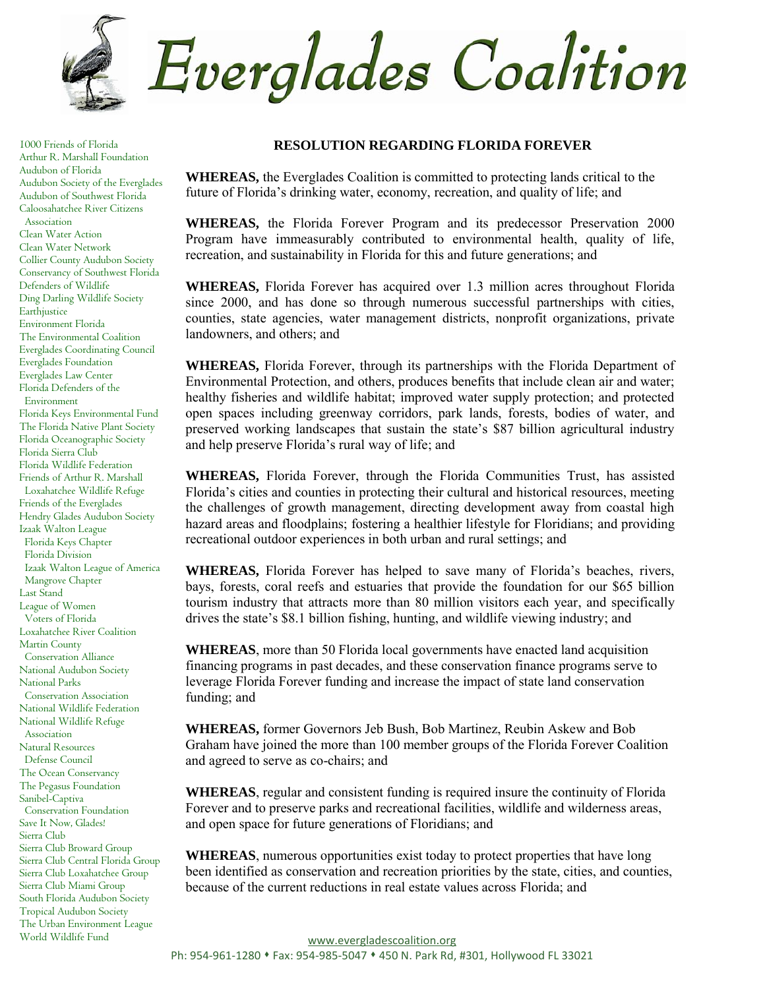

1000 Friends of Florida Arthur R. Marshall Foundation Audubon of Florida Audubon Society of the Everglades Audubon of Southwest Florida Caloosahatchee River Citizens Association Clean Water Action Clean Water Network Collier County Audubon Society Conservancy of Southwest Florida Defenders of Wildlife Ding Darling Wildlife Society Earthjustice Environment Florida The Environmental Coalition Everglades Coordinating Council Everglades Foundation Everglades Law Center Florida Defenders of the Environment Florida Keys Environmental Fund The Florida Native Plant Society Florida Oceanographic Society Florida Sierra Club Florida Wildlife Federation Friends of Arthur R. Marshall Loxahatchee Wildlife Refuge Friends of the Everglades Hendry Glades Audubon Society Izaak Walton League Florida Keys Chapter Florida Division Izaak Walton League of America Mangrove Chapter Last Stand League of Women Voters of Florida Loxahatchee River Coalition Martin County Conservation Alliance National Audubon Society National Parks Conservation Association National Wildlife Federation National Wildlife Refuge Association Natural Resources Defense Council The Ocean Conservancy The Pegasus Foundation Sanibel-Captiva Conservation Foundation Save It Now, Glades! Sierra Club Sierra Club Broward Group Sierra Club Central Florida Group Sierra Club Loxahatchee Group Sierra Club Miami Group South Florida Audubon Society Tropical Audubon Society The Urban Environment League World Wildlife Fund

## **RESOLUTION REGARDING FLORIDA FOREVER**

**WHEREAS,** the Everglades Coalition is committed to protecting lands critical to the future of Florida's drinking water, economy, recreation, and quality of life; and

**WHEREAS,** the Florida Forever Program and its predecessor Preservation 2000 Program have immeasurably contributed to environmental health, quality of life, recreation, and sustainability in Florida for this and future generations; and

**WHEREAS,** Florida Forever has acquired over 1.3 million acres throughout Florida since 2000, and has done so through numerous successful partnerships with cities, counties, state agencies, water management districts, nonprofit organizations, private landowners, and others; and

**WHEREAS,** Florida Forever, through its partnerships with the Florida Department of Environmental Protection, and others, produces benefits that include clean air and water; healthy fisheries and wildlife habitat; improved water supply protection; and protected open spaces including greenway corridors, park lands, forests, bodies of water, and preserved working landscapes that sustain the state's \$87 billion agricultural industry and help preserve Florida's rural way of life; and

**WHEREAS,** Florida Forever, through the Florida Communities Trust, has assisted Florida's cities and counties in protecting their cultural and historical resources, meeting the challenges of growth management, directing development away from coastal high hazard areas and floodplains; fostering a healthier lifestyle for Floridians; and providing recreational outdoor experiences in both urban and rural settings; and

**WHEREAS,** Florida Forever has helped to save many of Florida's beaches, rivers, bays, forests, coral reefs and estuaries that provide the foundation for our \$65 billion tourism industry that attracts more than 80 million visitors each year, and specifically drives the state's \$8.1 billion fishing, hunting, and wildlife viewing industry; and

**WHEREAS**, more than 50 Florida local governments have enacted land acquisition financing programs in past decades, and these conservation finance programs serve to leverage Florida Forever funding and increase the impact of state land conservation funding; and

**WHEREAS,** former Governors Jeb Bush, Bob Martinez, Reubin Askew and Bob Graham have joined the more than 100 member groups of the Florida Forever Coalition and agreed to serve as co-chairs; and

**WHEREAS**, regular and consistent funding is required insure the continuity of Florida Forever and to preserve parks and recreational facilities, wildlife and wilderness areas, and open space for future generations of Floridians; and

**WHEREAS**, numerous opportunities exist today to protect properties that have long been identified as conservation and recreation priorities by the state, cities, and counties, because of the current reductions in real estate values across Florida; and